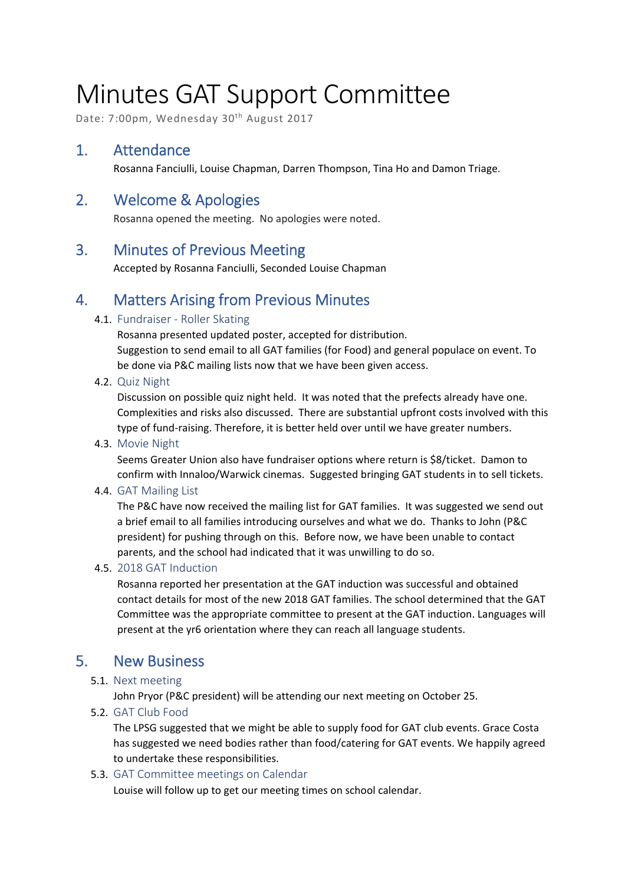# Minutes GAT Support Committee

Date: 7:00pm, Wednesday 30<sup>th</sup> August 2017

## 1. Attendance

Rosanna Fanciulli, Louise Chapman, Darren Thompson, Tina Ho and Damon Triage.

# 2. Welcome & Apologies

Rosanna opened the meeting. No apologies were noted.

## 3. Minutes of Previous Meeting

Accepted by Rosanna Fanciulli, Seconded Louise Chapman

# 4. Matters Arising from Previous Minutes

#### 4.1. Fundraiser - Roller Skating

Rosanna presented updated poster, accepted for distribution. Suggestion to send email to all GAT families (for Food) and general populace on event. To be done via P&C mailing lists now that we have been given access.

4.2. Quiz Night

Discussion on possible quiz night held. It was noted that the prefects already have one. Complexities and risks also discussed. There are substantial upfront costs involved with this type of fund-raising. Therefore, it is better held over until we have greater numbers.

4.3. Movie Night

Seems Greater Union also have fundraiser options where return is \$8/ticket. Damon to confirm with Innaloo/Warwick cinemas. Suggested bringing GAT students in to sell tickets.

#### 4.4. GAT Mailing List

The P&C have now received the mailing list for GAT families. It was suggested we send out a brief email to all families introducing ourselves and what we do. Thanks to John (P&C president) for pushing through on this. Before now, we have been unable to contact parents, and the school had indicated that it was unwilling to do so.

#### 4.5. 2018 GAT Induction

Rosanna reported her presentation at the GAT induction was successful and obtained contact details for most of the new 2018 GAT families. The school determined that the GAT Committee was the appropriate committee to present at the GAT induction. Languages will present at the yr6 orientation where they can reach all language students.

# 5. New Business

#### 5.1. Next meeting

John Pryor (P&C president) will be attending our next meeting on October 25.

5.2. GAT Club Food

The LPSG suggested that we might be able to supply food for GAT club events. Grace Costa has suggested we need bodies rather than food/catering for GAT events. We happily agreed to undertake these responsibilities.

#### 5.3. GAT Committee meetings on Calendar

Louise will follow up to get our meeting times on school calendar.